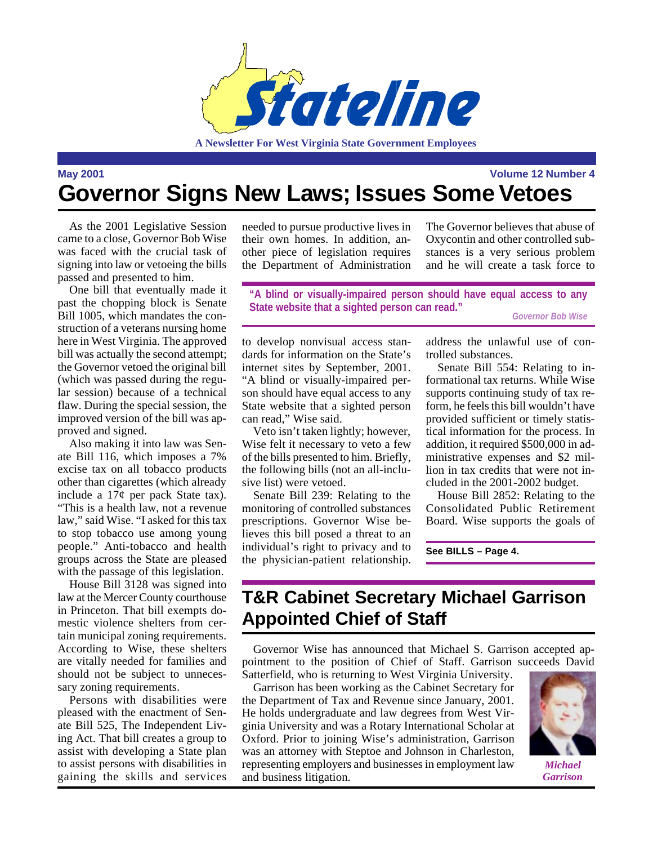

**A Newsletter For West Virginia State Government Employees**

**May 2001 Volume 12 Number 4**

## **Governor Signs New Laws; Issues Some Vetoes**

As the 2001 Legislative Session came to a close, Governor Bob Wise was faced with the crucial task of signing into law or vetoeing the bills passed and presented to him.

One bill that eventually made it past the chopping block is Senate Bill 1005, which mandates the construction of a veterans nursing home here in West Virginia. The approved bill was actually the second attempt; the Governor vetoed the original bill (which was passed during the regular session) because of a technical flaw. During the special session, the improved version of the bill was approved and signed.

Also making it into law was Senate Bill 116, which imposes a 7% excise tax on all tobacco products other than cigarettes (which already include a 17¢ per pack State tax). "This is a health law, not a revenue law," said Wise. "I asked for this tax to stop tobacco use among young people." Anti-tobacco and health groups across the State are pleased with the passage of this legislation.

House Bill 3128 was signed into law at the Mercer County courthouse in Princeton. That bill exempts domestic violence shelters from certain municipal zoning requirements. According to Wise, these shelters are vitally needed for families and should not be subject to unnecessary zoning requirements.

Persons with disabilities were pleased with the enactment of Senate Bill 525, The Independent Living Act. That bill creates a group to assist with developing a State plan to assist persons with disabilities in gaining the skills and services needed to pursue productive lives in their own homes. In addition, another piece of legislation requires the Department of Administration

The Governor believes that abuse of Oxycontin and other controlled substances is a very serious problem and he will create a task force to

**"A blind or visually-impaired person should have equal access to any State website that a sighted person can read."** *Governor Bob Wise*

to develop nonvisual access standards for information on the State's internet sites by September, 2001. "A blind or visually-impaired person should have equal access to any State website that a sighted person can read," Wise said.

Veto isn't taken lightly; however, Wise felt it necessary to veto a few of the bills presented to him. Briefly, the following bills (not an all-inclusive list) were vetoed.

Senate Bill 239: Relating to the monitoring of controlled substances prescriptions. Governor Wise believes this bill posed a threat to an individual's right to privacy and to the physician-patient relationship.

address the unlawful use of controlled substances.

Senate Bill 554: Relating to informational tax returns. While Wise supports continuing study of tax reform, he feels this bill wouldn't have provided sufficient or timely statistical information for the process. In addition, it required \$500,000 in administrative expenses and \$2 million in tax credits that were not included in the 2001-2002 budget.

House Bill 2852: Relating to the Consolidated Public Retirement Board. Wise supports the goals of

**See BILLS – Page 4.**

### **T&R Cabinet Secretary Michael Garrison Appointed Chief of Staff**

Governor Wise has announced that Michael S. Garrison accepted appointment to the position of Chief of Staff. Garrison succeeds David Satterfield, who is returning to West Virginia University.

Garrison has been working as the Cabinet Secretary for the Department of Tax and Revenue since January, 2001. He holds undergraduate and law degrees from West Virginia University and was a Rotary International Scholar at Oxford. Prior to joining Wise's administration, Garrison was an attorney with Steptoe and Johnson in Charleston, representing employers and businesses in employment law and business litigation.



*Michael Garrison*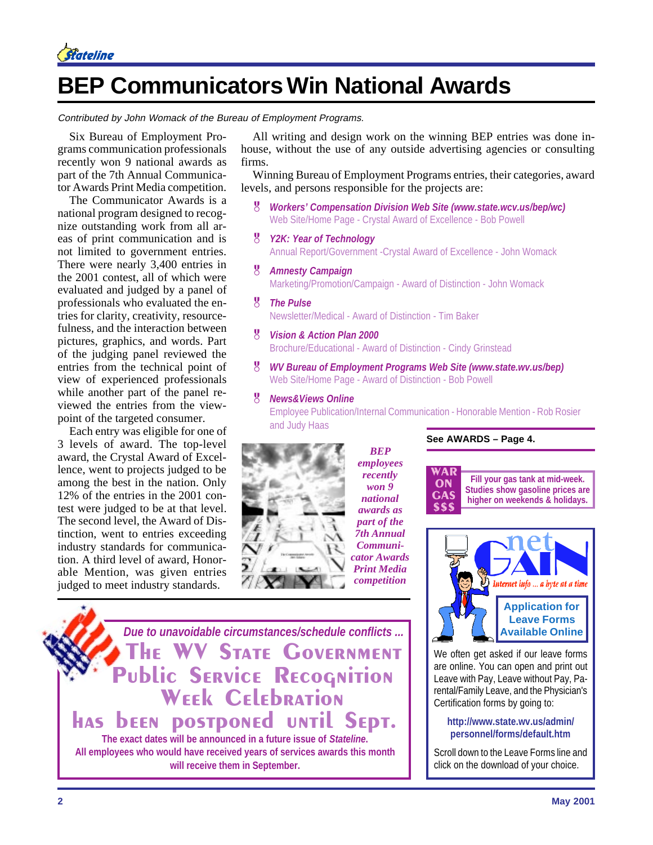

## **BEP Communicators Win National Awards**

Contributed by John Womack of the Bureau of Employment Programs.

Six Bureau of Employment Programs communication professionals recently won 9 national awards as part of the 7th Annual Communicator Awards Print Media competition.

The Communicator Awards is a national program designed to recognize outstanding work from all areas of print communication and is not limited to government entries. There were nearly 3,400 entries in the 2001 contest, all of which were evaluated and judged by a panel of professionals who evaluated the entries for clarity, creativity, resourcefulness, and the interaction between pictures, graphics, and words. Part of the judging panel reviewed the entries from the technical point of view of experienced professionals while another part of the panel reviewed the entries from the viewpoint of the targeted consumer.

Each entry was eligible for one of 3 levels of award. The top-level award, the Crystal Award of Excellence, went to projects judged to be among the best in the nation. Only 12% of the entries in the 2001 contest were judged to be at that level. The second level, the Award of Distinction, went to entries exceeding industry standards for communication. A third level of award, Honorable Mention, was given entries judged to meet industry standards.

All writing and design work on the winning BEP entries was done inhouse, without the use of any outside advertising agencies or consulting firms.

Winning Bureau of Employment Programs entries, their categories, award levels, and persons responsible for the projects are:

- & *Workers' Compensation Division Web Site (www.state.wcv.us/bep/wc)* Web Site/Home Page - Crystal Award of Excellence - Bob Powell
- & *Y2K: Year of Technology* Annual Report/Government -Crystal Award of Excellence - John Womack
- & *Amnesty Campaign* Marketing/Promotion/Campaign - Award of Distinction - John Womack
- & *The Pulse* Newsletter/Medical - Award of Distinction - Tim Baker
- & *Vision & Action Plan 2000* Brochure/Educational - Award of Distinction - Cindy Grinstead
- & *WV Bureau of Employment Programs Web Site (www.state.wv.us/bep)* Web Site/Home Page - Award of Distinction - Bob Powell

#### & *News&Views Online*

Employee Publication/Internal Communication - Honorable Mention - Rob Rosier and Judy Haas



*BEP employees recently won 9 national awards as part of the 7th Annual Communicator Awards Print Media competition*

**Fill your gas tank at mid-week. Studies show gasoline prices are higher on weekends & holidays.** WAR ON **GAS** \$\$\$

**See AWARDS – Page 4.**



We often get asked if our leave forms are online. You can open and print out Leave with Pay, Leave without Pay, Parental/Family Leave, and the Physician's Certification forms by going to:

#### **http://www.state.wv.us/admin/ personnel/forms/default.htm**

Scroll down to the Leave Forms line and click on the download of your choice.

*Due to unavoidable circumstances/schedule conflicts ...* **WV STATE GOVERNMENT** Public SERVICE RECOGNITION WEEK CELEBRATION has been postponed until Sept. **The exact dates will be announced in a future issue of** *Stateline***. All employees who would have received years of services awards this month will receive them in September.**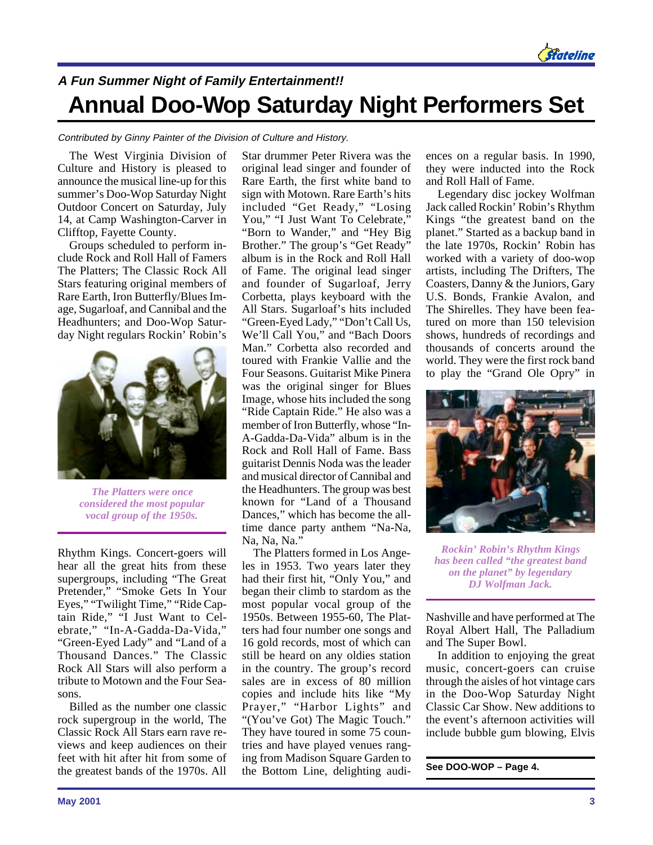

### **A Fun Summer Night of Family Entertainment!! Annual Doo-Wop Saturday Night Performers Set**

#### Contributed by Ginny Painter of the Division of Culture and History.

The West Virginia Division of Culture and History is pleased to announce the musical line-up for this summer's Doo-Wop Saturday Night Outdoor Concert on Saturday, July 14, at Camp Washington-Carver in Clifftop, Fayette County.

Groups scheduled to perform include Rock and Roll Hall of Famers The Platters; The Classic Rock All Stars featuring original members of Rare Earth, Iron Butterfly/Blues Image, Sugarloaf, and Cannibal and the Headhunters; and Doo-Wop Saturday Night regulars Rockin' Robin's



*The Platters were once considered the most popular vocal group of the 1950s.*

Rhythm Kings. Concert-goers will hear all the great hits from these supergroups, including "The Great Pretender," "Smoke Gets In Your Eyes," "Twilight Time," "Ride Captain Ride," "I Just Want to Celebrate," "In-A-Gadda-Da-Vida," "Green-Eyed Lady" and "Land of a Thousand Dances." The Classic Rock All Stars will also perform a tribute to Motown and the Four Seasons.

Billed as the number one classic rock supergroup in the world, The Classic Rock All Stars earn rave reviews and keep audiences on their feet with hit after hit from some of the greatest bands of the 1970s. All Star drummer Peter Rivera was the original lead singer and founder of Rare Earth, the first white band to sign with Motown. Rare Earth's hits included "Get Ready," "Losing You," "I Just Want To Celebrate." "Born to Wander," and "Hey Big Brother." The group's "Get Ready" album is in the Rock and Roll Hall of Fame. The original lead singer and founder of Sugarloaf, Jerry Corbetta, plays keyboard with the All Stars. Sugarloaf's hits included "Green-Eyed Lady," "Don't Call Us, We'll Call You," and "Bach Doors Man." Corbetta also recorded and toured with Frankie Vallie and the Four Seasons. Guitarist Mike Pinera was the original singer for Blues Image, whose hits included the song "Ride Captain Ride." He also was a member of Iron Butterfly, whose "In-A-Gadda-Da-Vida" album is in the Rock and Roll Hall of Fame. Bass guitarist Dennis Noda was the leader and musical director of Cannibal and the Headhunters. The group was best known for "Land of a Thousand Dances," which has become the alltime dance party anthem "Na-Na, Na, Na, Na.'

The Platters formed in Los Angeles in 1953. Two years later they had their first hit, "Only You," and began their climb to stardom as the most popular vocal group of the 1950s. Between 1955-60, The Platters had four number one songs and 16 gold records, most of which can still be heard on any oldies station in the country. The group's record sales are in excess of 80 million copies and include hits like "My Prayer," "Harbor Lights" and "(You've Got) The Magic Touch." They have toured in some 75 countries and have played venues ranging from Madison Square Garden to the Bottom Line, delighting audiences on a regular basis. In 1990, they were inducted into the Rock and Roll Hall of Fame.

Legendary disc jockey Wolfman Jack called Rockin' Robin's Rhythm Kings "the greatest band on the planet." Started as a backup band in the late 1970s, Rockin' Robin has worked with a variety of doo-wop artists, including The Drifters, The Coasters, Danny & the Juniors, Gary U.S. Bonds, Frankie Avalon, and The Shirelles. They have been featured on more than 150 television shows, hundreds of recordings and thousands of concerts around the world. They were the first rock band to play the "Grand Ole Opry" in



*Rockin' Robin's Rhythm Kings has been called "the greatest band on the planet" by legendary DJ Wolfman Jack.*

Nashville and have performed at The Royal Albert Hall, The Palladium and The Super Bowl.

In addition to enjoying the great music, concert-goers can cruise through the aisles of hot vintage cars in the Doo-Wop Saturday Night Classic Car Show. New additions to the event's afternoon activities will include bubble gum blowing, Elvis

#### **See DOO-WOP – Page 4.**